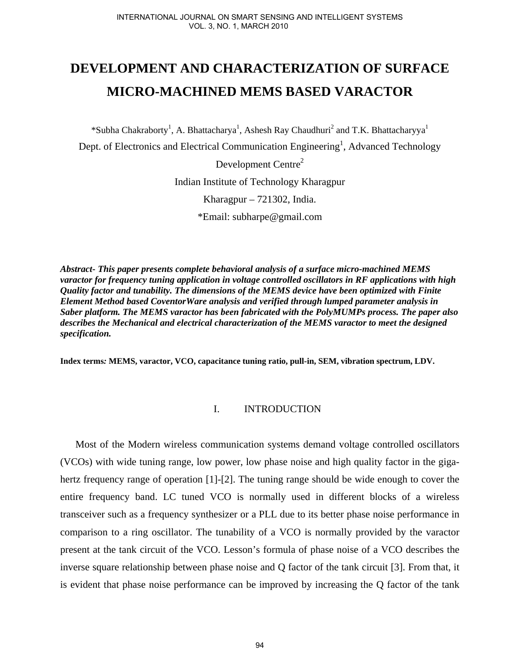# **DEVELOPMENT AND CHARACTERIZATION OF SURFACE MICRO-MACHINED MEMS BASED VARACTOR**

\*Subha Chakraborty<sup>1</sup>, A. Bhattacharya<sup>1</sup>, Ashesh Ray Chaudhuri<sup>2</sup> and T.K. Bhattacharyya<sup>1</sup> Dept. of Electronics and Electrical Communication Engineering<sup>1</sup>, Advanced Technology Development Centre<sup>2</sup> Indian Institute of Technology Kharagpur Kharagpur – 721302, India. \*Email: subharpe@gmail.com

*Abstract- This paper presents complete behavioral analysis of a surface micro-machined MEMS varactor for frequency tuning application in voltage controlled oscillators in RF applications with high Quality factor and tunability. The dimensions of the MEMS device have been optimized with Finite Element Method based CoventorWare analysis and verified through lumped parameter analysis in Saber platform. The MEMS varactor has been fabricated with the PolyMUMPs process. The paper also describes the Mechanical and electrical characterization of the MEMS varactor to meet the designed specification.* 

**Index terms***:* **MEMS, varactor, VCO, capacitance tuning ratio, pull-in, SEM, vibration spectrum, LDV.** 

## I. INTRODUCTION

Most of the Modern wireless communication systems demand voltage controlled oscillators (VCOs) with wide tuning range, low power, low phase noise and high quality factor in the gigahertz frequency range of operation [1]-[2]. The tuning range should be wide enough to cover the entire frequency band. LC tuned VCO is normally used in different blocks of a wireless transceiver such as a frequency synthesizer or a PLL due to its better phase noise performance in comparison to a ring oscillator. The tunability of a VCO is normally provided by the varactor present at the tank circuit of the VCO. Lesson's formula of phase noise of a VCO describes the inverse square relationship between phase noise and Q factor of the tank circuit [3]. From that, it is evident that phase noise performance can be improved by increasing the Q factor of the tank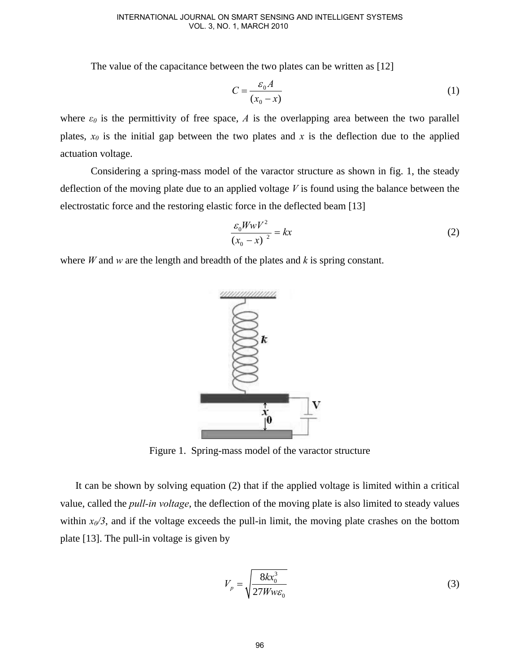The value of the capacitance between the two plates can be written as [12]

$$
C = \frac{\varepsilon_0 A}{(x_0 - x)}\tag{1}
$$

where  $\varepsilon_0$  is the permittivity of free space, *A* is the overlapping area between the two parallel plates,  $x_0$  is the initial gap between the two plates and x is the deflection due to the applied actuation voltage.

Considering a spring-mass model of the varactor structure as shown in fig. 1, the steady deflection of the moving plate due to an applied voltage *V* is found using the balance between the electrostatic force and the restoring elastic force in the deflected beam [13]

$$
\frac{\varepsilon_0 W w V^2}{\left(x_0 - x\right)^2} = kx\tag{2}
$$

where *W* and *w* are the length and breadth of the plates and *k* is spring constant.



Figure 1. Spring-mass model of the varactor structure

It can be shown by solving equation (2) that if the applied voltage is limited within a critical value, called the *pull-in voltage*, the deflection of the moving plate is also limited to steady values within  $x_0/3$ , and if the voltage exceeds the pull-in limit, the moving plate crashes on the bottom plate [13]. The pull-in voltage is given by

$$
V_p = \sqrt{\frac{8kx_0^3}{27Ww\varepsilon_0}}
$$
 (3)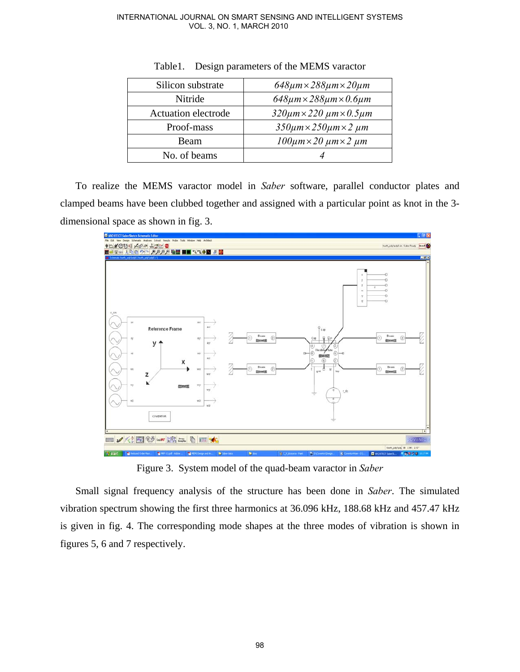| Silicon substrate          | $648 \mu m \times 288 \mu m \times 20 \mu m$         |
|----------------------------|------------------------------------------------------|
| Nitride                    | $648\mu$ m $\times$ 288 $\mu$ m $\times$ 0.6 $\mu$ m |
| <b>Actuation electrode</b> | $320 \mu m \times 220 \mu m \times 0.5 \mu m$        |
| Proof-mass                 | $350 \mu m \times 250 \mu m \times 2 \mu m$          |
| Beam                       | $100 \mu m \times 20 \mu m \times 2 \mu m$           |
| No. of beams               |                                                      |

Table1. Design parameters of the MEMS varactor

To realize the MEMS varactor model in *Saber* software, parallel conductor plates and clamped beams have been clubbed together and assigned with a particular point as knot in the 3 dimensional space as shown in fig. 3.



Figure 3. System model of the quad-beam varactor in *Saber*

Small signal frequency analysis of the structure has been done in *Saber*. The simulated vibration spectrum showing the first three harmonics at 36.096 kHz, 188.68 kHz and 457.47 kHz is given in fig. 4. The corresponding mode shapes at the three modes of vibration is shown in figures 5, 6 and 7 respectively.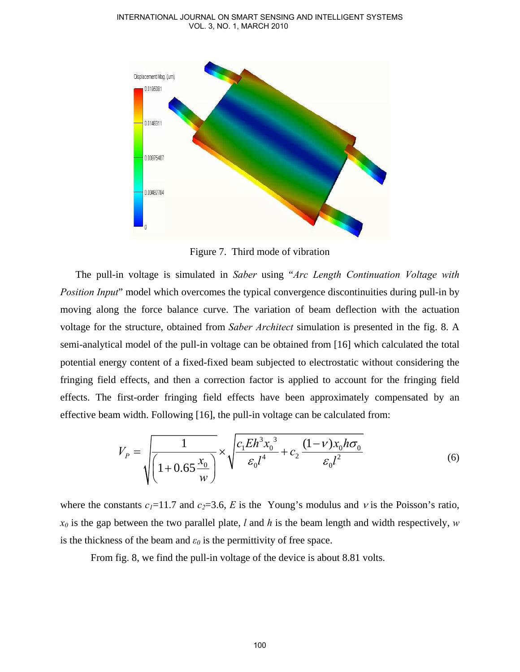

Figure 7. Third mode of vibration

The pull-in voltage is simulated in *Saber* using "*Arc Length Continuation Voltage with Position Input*" model which overcomes the typical convergence discontinuities during pull-in by moving along the force balance curve. The variation of beam deflection with the actuation voltage for the structure, obtained from *Saber Architect* simulation is presented in the fig. 8. A semi-analytical model of the pull-in voltage can be obtained from [16] which calculated the total potential energy content of a fixed-fixed beam subjected to electrostatic without considering the fringing field effects, and then a correction factor is applied to account for the fringing field effects. The first-order fringing field effects have been approximately compensated by an effective beam width. Following [16], the pull-in voltage can be calculated from:

$$
V_P = \sqrt{\frac{1}{\left(1 + 0.65 \frac{x_0}{w}\right)}} \times \sqrt{\frac{c_1 E h^3 x_0^3}{\varepsilon_0 l^4} + c_2 \frac{(1 - v)x_0 h \sigma_0}{\varepsilon_0 l^2}}
$$
(6)

where the constants  $c_1=11.7$  and  $c_2=3.6$ , *E* is the Young's modulus and *v* is the Poisson's ratio,  $x_0$  is the gap between the two parallel plate, *l* and *h* is the beam length and width respectively, *w* is the thickness of the beam and  $\varepsilon_0$  is the permittivity of free space.

From fig. 8, we find the pull-in voltage of the device is about 8.81 volts.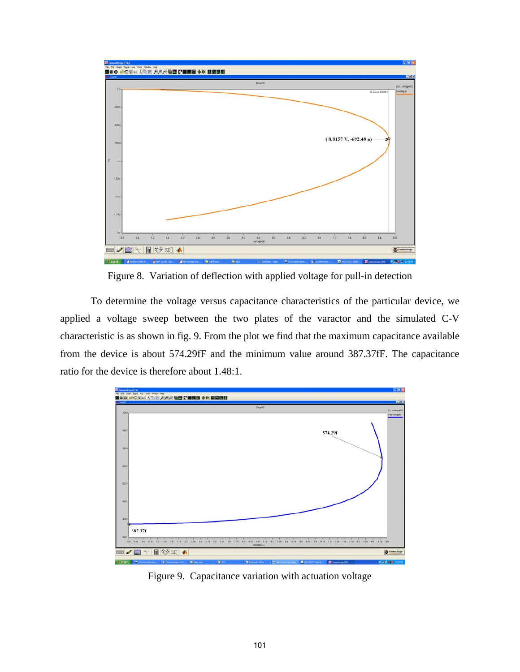

Figure 8. Variation of deflection with applied voltage for pull-in detection

To determine the voltage versus capacitance characteristics of the particular device, we applied a voltage sweep between the two plates of the varactor and the simulated C-V characteristic is as shown in fig. 9. From the plot we find that the maximum capacitance available from the device is about 574.29fF and the minimum value around 387.37fF. The capacitance ratio for the device is therefore about 1.48:1.



Figure 9. Capacitance variation with actuation voltage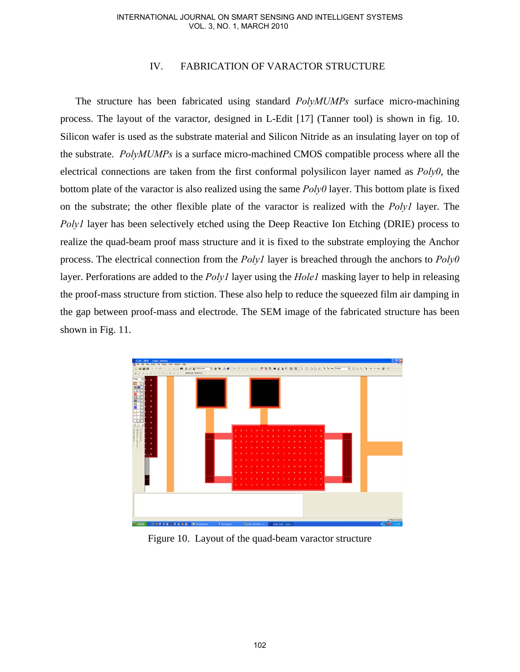# IV. FABRICATION OF VARACTOR STRUCTURE

The structure has been fabricated using standard *PolyMUMPs* surface micro-machining process. The layout of the varactor, designed in L-Edit [17] (Tanner tool) is shown in fig. 10. Silicon wafer is used as the substrate material and Silicon Nitride as an insulating layer on top of the substrate. *PolyMUMPs* is a surface micro-machined CMOS compatible process where all the electrical connections are taken from the first conformal polysilicon layer named as *Poly0*, the bottom plate of the varactor is also realized using the same *Poly0* layer. This bottom plate is fixed on the substrate; the other flexible plate of the varactor is realized with the *Poly1* layer. The *Poly1* layer has been selectively etched using the Deep Reactive Ion Etching (DRIE) process to realize the quad-beam proof mass structure and it is fixed to the substrate employing the Anchor process. The electrical connection from the *Poly1* layer is breached through the anchors to *Poly0* layer. Perforations are added to the *Poly1* layer using the *Hole1* masking layer to help in releasing the proof-mass structure from stiction. These also help to reduce the squeezed film air damping in the gap between proof-mass and electrode. The SEM image of the fabricated structure has been shown in Fig. 11.



Figure 10. Layout of the quad-beam varactor structure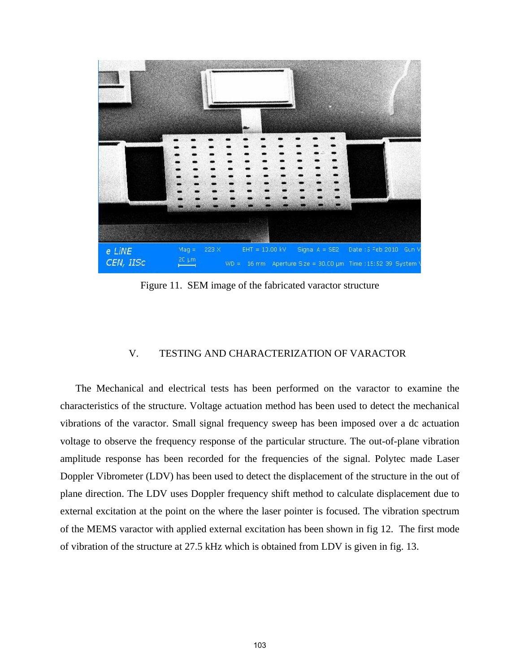

Figure 11. SEM image of the fabricated varactor structure

# V. TESTING AND CHARACTERIZATION OF VARACTOR

The Mechanical and electrical tests has been performed on the varactor to examine the characteristics of the structure. Voltage actuation method has been used to detect the mechanical vibrations of the varactor. Small signal frequency sweep has been imposed over a dc actuation voltage to observe the frequency response of the particular structure. The out-of-plane vibration amplitude response has been recorded for the frequencies of the signal. Polytec made Laser Doppler Vibrometer (LDV) has been used to detect the displacement of the structure in the out of plane direction. The LDV uses Doppler frequency shift method to calculate displacement due to external excitation at the point on the where the laser pointer is focused. The vibration spectrum of the MEMS varactor with applied external excitation has been shown in fig 12. The first mode of vibration of the structure at 27.5 kHz which is obtained from LDV is given in fig. 13.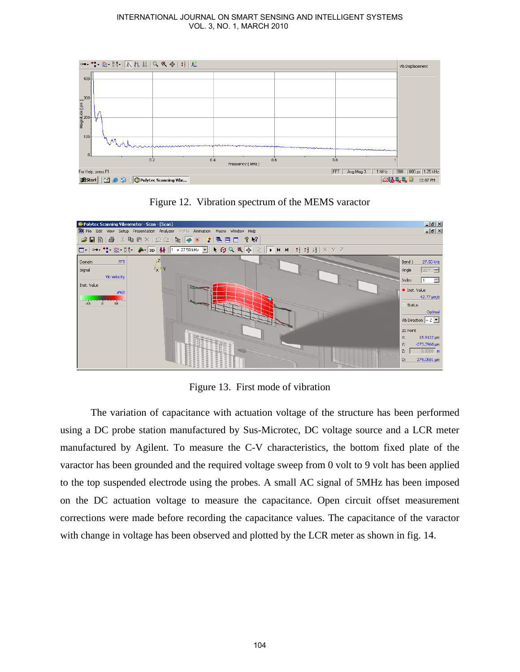





Figure 13. First mode of vibration

The variation of capacitance with actuation voltage of the structure has been performed using a DC probe station manufactured by Sus-Microtec, DC voltage source and a LCR meter manufactured by Agilent. To measure the C-V characteristics, the bottom fixed plate of the varactor has been grounded and the required voltage sweep from 0 volt to 9 volt has been applied to the top suspended electrode using the probes. A small AC signal of 5MHz has been imposed on the DC actuation voltage to measure the capacitance. Open circuit offset measurement corrections were made before recording the capacitance values. The capacitance of the varactor with change in voltage has been observed and plotted by the LCR meter as shown in fig. 14.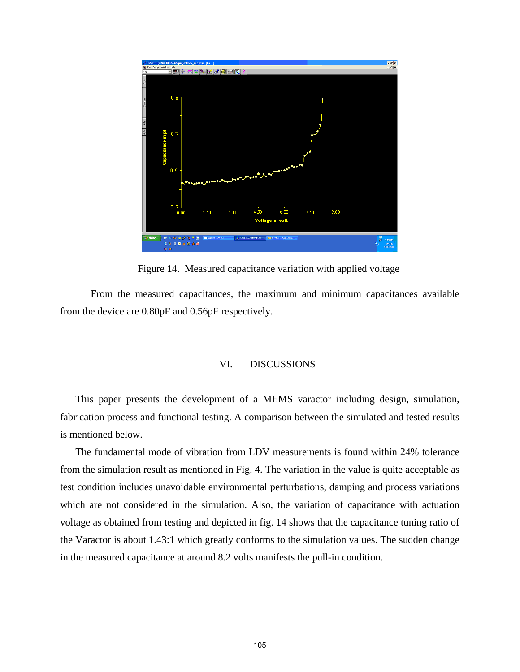Development and Characterization of Surface Micro-Machined Mems Based Varactor



Figure 14. Measured capacitance variation with applied voltage

From the measured capacitances, the maximum and minimum capacitances available from the device are 0.80pF and 0.56pF respectively.

# VI. DISCUSSIONS

This paper presents the development of a MEMS varactor including design, simulation, fabrication process and functional testing. A comparison between the simulated and tested results is mentioned below.

The fundamental mode of vibration from LDV measurements is found within 24% tolerance from the simulation result as mentioned in Fig. 4. The variation in the value is quite acceptable as test condition includes unavoidable environmental perturbations, damping and process variations which are not considered in the simulation. Also, the variation of capacitance with actuation voltage as obtained from testing and depicted in fig. 14 shows that the capacitance tuning ratio of the Varactor is about 1.43:1 which greatly conforms to the simulation values. The sudden change in the measured capacitance at around 8.2 volts manifests the pull-in condition.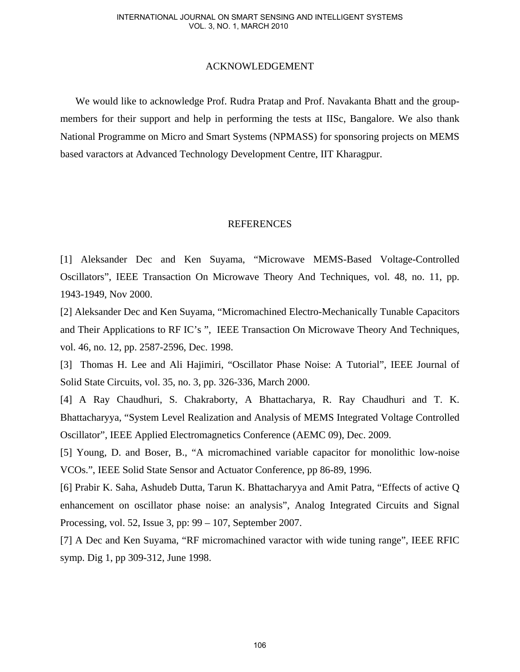## ACKNOWLEDGEMENT

We would like to acknowledge Prof. Rudra Pratap and Prof. Navakanta Bhatt and the groupmembers for their support and help in performing the tests at IISc, Bangalore. We also thank National Programme on Micro and Smart Systems (NPMASS) for sponsoring projects on MEMS based varactors at Advanced Technology Development Centre, IIT Kharagpur.

# REFERENCES

[1] Aleksander Dec and Ken Suyama, "Microwave MEMS-Based Voltage-Controlled Oscillators", IEEE Transaction On Microwave Theory And Techniques, vol. 48, no. 11, pp. 1943-1949, Nov 2000.

[2] Aleksander Dec and Ken Suyama, "Micromachined Electro-Mechanically Tunable Capacitors and Their Applications to RF IC's ", IEEE Transaction On Microwave Theory And Techniques, vol. 46, no. 12, pp. 2587-2596, Dec. 1998.

[3] Thomas H. Lee and Ali Hajimiri, "Oscillator Phase Noise: A Tutorial", IEEE Journal of Solid State Circuits, vol. 35, no. 3, pp. 326-336, March 2000.

[4] A Ray Chaudhuri, S. Chakraborty, A Bhattacharya, R. Ray Chaudhuri and T. K. Bhattacharyya, "System Level Realization and Analysis of MEMS Integrated Voltage Controlled Oscillator", IEEE Applied Electromagnetics Conference (AEMC 09), Dec. 2009.

[5] Young, D. and Boser, B., "A micromachined variable capacitor for monolithic low-noise VCOs.", IEEE Solid State Sensor and Actuator Conference, pp 86-89, 1996.

[6] Prabir K. Saha, Ashudeb Dutta, Tarun K. Bhattacharyya and Amit Patra, "Effects of active Q enhancement on oscillator phase noise: an analysis", Analog Integrated Circuits and Signal Processing, vol. 52, Issue 3, pp: 99 – 107, September 2007.

[7] A Dec and Ken Suyama, "RF micromachined varactor with wide tuning range", IEEE RFIC symp. Dig 1, pp 309-312, June 1998.